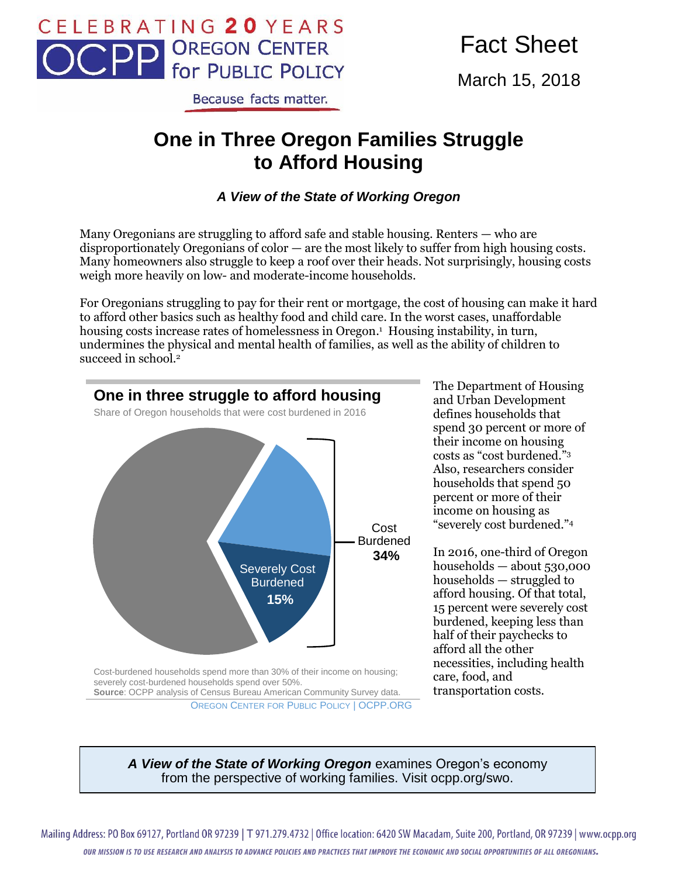

Fact Sheet

March 15, 2018

#### Because facts matter.

# **One in Three Oregon Families Struggle to Afford Housing**

#### *A View of the State of Working Oregon*

Many Oregonians are struggling to afford safe and stable housing. Renters — who are disproportionately Oregonians of color — are the most likely to suffer from high housing costs. Many homeowners also struggle to keep a roof over their heads. Not surprisingly, housing costs weigh more heavily on low- and moderate-income households.

For Oregonians struggling to pay for their rent or mortgage, the cost of housing can make it hard to afford other basics such as healthy food and child care. In the worst cases, unaffordable housing costs increase rates of homelessness in Oregon. <sup>1</sup> Housing instability, in turn, undermines the physical and mental health of families, as well as the ability of children to succeed in school.<sup>2</sup>



The Department of Housing and Urban Development defines households that spend 30 percent or more of their income on housing costs as "cost burdened."<sup>3</sup> Also, researchers consider households that spend 50 percent or more of their income on housing as "severely cost burdened."<sup>4</sup>

In 2016, one-third of Oregon households — about 530,000 households — struggled to afford housing. Of that total, 15 percent were severely cost burdened, keeping less than half of their paychecks to afford all the other necessities, including health care, food, and transportation costs.

OREGON CENTER FOR PUBLIC POLICY | OCPP.ORG

*A View of the State of Working Oregon* examines Oregon's economy from the perspective of working families. Visit ocpp.org/swo.

Mailing Address: PO Box 69127, Portland OR 97239 | T 971.279.4732 | Office location: 6420 SW Macadam, Suite 200, Portland, OR 97239 | www.ocpp.org OUR MISSION IS TO USE RESEARCH AND ANALYSIS TO ADVANCE POLICIES AND PRACTICES THAT IMPROVE THE ECONOMIC AND SOCIAL OPPORTUNITIES OF ALL OREGONIANS.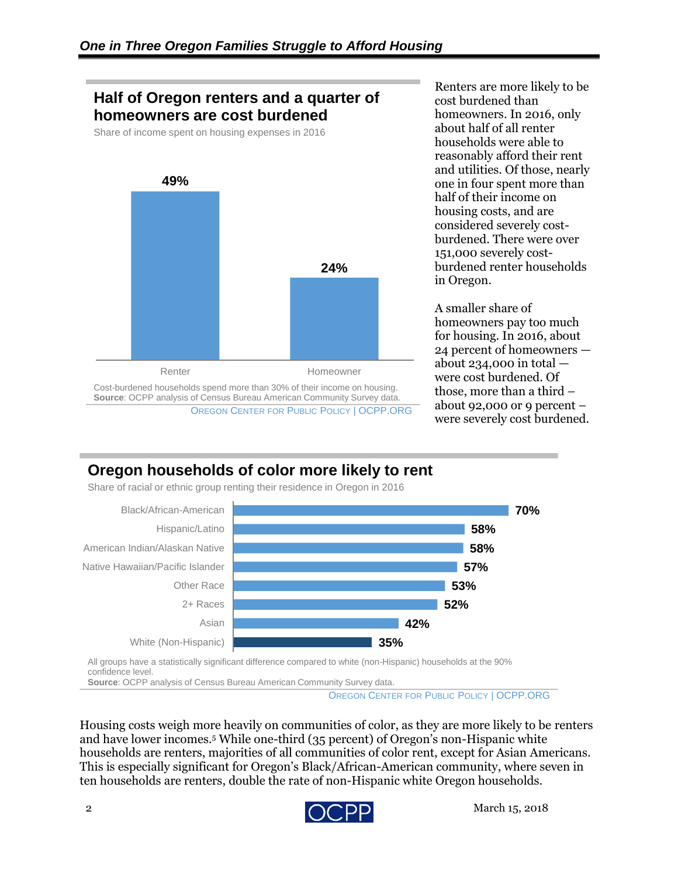### **Half of Oregon renters and a quarter of homeowners are cost burdened**

Share of income spent on housing expenses in 2016



Renters are more likely to be cost burdened than homeowners. In 2016, only about half of all renter households were able to reasonably afford their rent and utilities. Of those, nearly one in four spent more than half of their income on housing costs, and are considered severely costburdened. There were over 151,000 severely costburdened renter households in Oregon.

A smaller share of homeowners pay too much for housing. In 2016, about 24 percent of homeowners about 234,000 in total  $$ were cost burdened. Of those, more than a third – about 92,000 or 9 percent – were severely cost burdened.

# **Oregon households of color more likely to rent**

Share of racial or ethnic group renting their residence in Oregon in 2016



All groups have a statistically significant difference compared to white (non-Hispanic) households at the 90% confidence level. **Source**: OCPP analysis of Census Bureau American Community Survey data.

OREGON CENTER FOR PUBLIC POLICY | OCPP.ORG

Housing costs weigh more heavily on communities of color, as they are more likely to be renters and have lower incomes.<sup>5</sup> While one-third (35 percent) of Oregon's non-Hispanic white households are renters, majorities of all communities of color rent, except for Asian Americans. This is especially significant for Oregon's Black/African-American community, where seven in ten households are renters, double the rate of non-Hispanic white Oregon households.

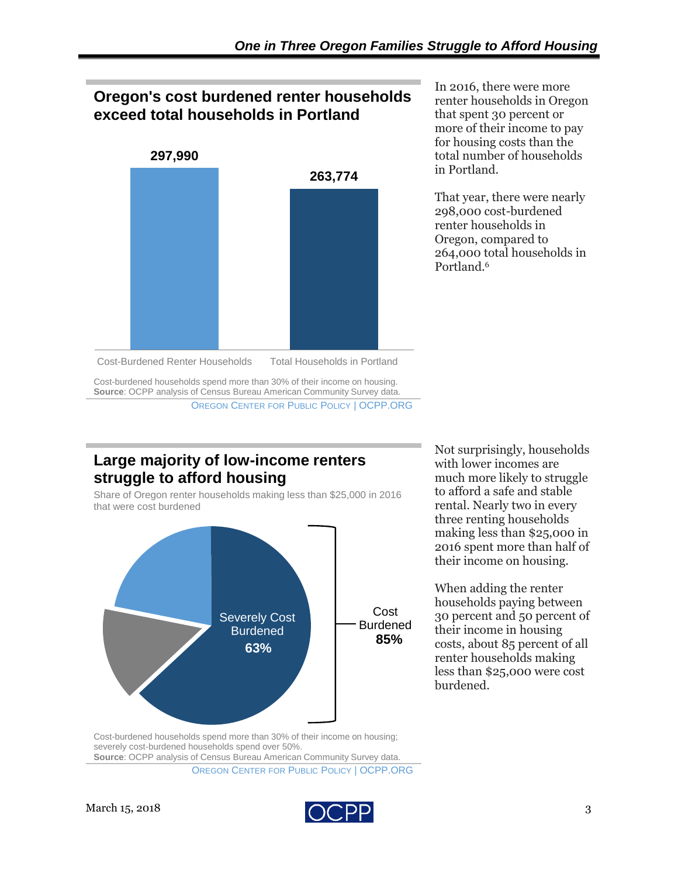# **Oregon's cost burdened renter households exceed total households in Portland**



In 2016, there were more renter households in Oregon that spent 30 percent or more of their income to pay for housing costs than the total number of households in Portland.

That year, there were nearly 298,000 cost-burdened renter households in Oregon, compared to 264,000 total households in Portland.<sup>6</sup>

Cost-Burdened Renter Households Total Households in Portland

Cost-burdened households spend more than 30% of their income on housing. **Source**: OCPP analysis of Census Bureau American Community Survey data. OREGON CENTER FOR PUBLIC POLICY | OCPP.ORG

#### **Large majority of low-income renters struggle to afford housing**

Share of Oregon renter households making less than \$25,000 in 2016 that were cost burdened



Not surprisingly, households with lower incomes are much more likely to struggle to afford a safe and stable rental. Nearly two in every three renting households making less than \$25,000 in 2016 spent more than half of their income on housing.

When adding the renter households paying between 30 percent and 50 percent of their income in housing costs, about 85 percent of all renter households making less than \$25,000 were cost burdened.

Cost-burdened households spend more than 30% of their income on housing; severely cost-burdened households spend over 50%.

**Source**: OCPP analysis of Census Bureau American Community Survey data.

OREGON CENTER FOR PUBLIC POLICY | OCPP.ORG

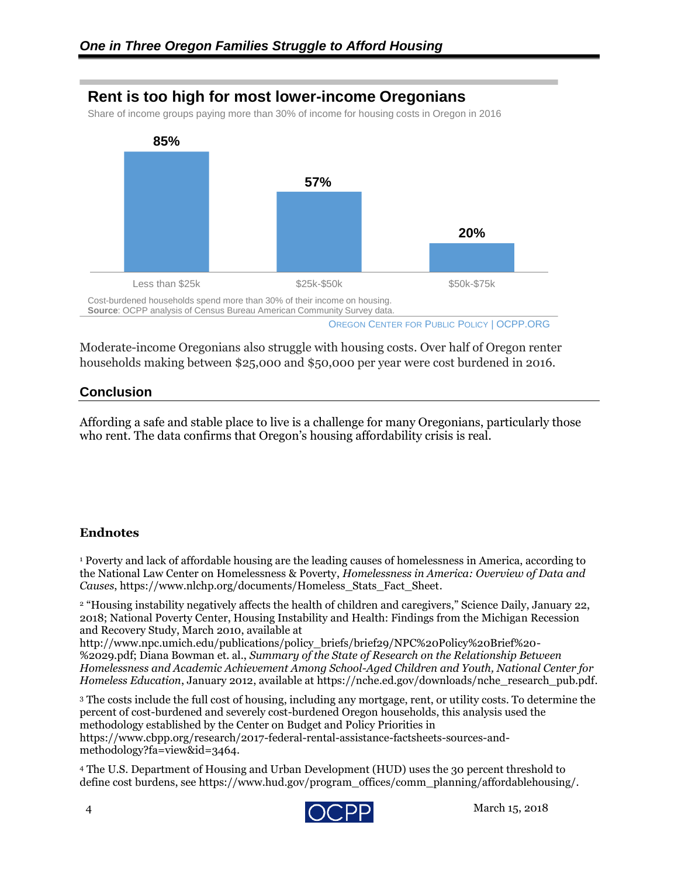### **Rent is too high for most lower-income Oregonians**

Share of income groups paying more than 30% of income for housing costs in Oregon in 2016



Moderate-income Oregonians also struggle with housing costs. Over half of Oregon renter households making between \$25,000 and \$50,000 per year were cost burdened in 2016.

#### **Conclusion**

Affording a safe and stable place to live is a challenge for many Oregonians, particularly those who rent. The data confirms that Oregon's housing affordability crisis is real.

#### **Endnotes**

<sup>1</sup> Poverty and lack of affordable housing are the leading causes of homelessness in America, according to the National Law Center on Homelessness & Poverty, *Homelessness in America: Overview of Data and Causes*, https://www.nlchp.org/documents/Homeless\_Stats\_Fact\_Sheet.

<sup>2</sup> "Housing instability negatively affects the health of children and caregivers," Science Daily, January 22, 2018; National Poverty Center, Housing Instability and Health: Findings from the Michigan Recession and Recovery Study, March 2010, available at

http://www.npc.umich.edu/publications/policy\_briefs/brief29/NPC%20Policy%20Brief%20- %2029.pdf; Diana Bowman et. al., *Summary of the State of Research on the Relationship Between Homelessness and Academic Achievement Among School-Aged Children and Youth, National Center for Homeless Education*, January 2012, available at https://nche.ed.gov/downloads/nche\_research\_pub.pdf.

<sup>3</sup> The costs include the full cost of housing, including any mortgage, rent, or utility costs. To determine the percent of cost-burdened and severely cost-burdened Oregon households, this analysis used the methodology established by the Center on Budget and Policy Priorities in https://www.cbpp.org/research/2017-federal-rental-assistance-factsheets-sources-andmethodology?fa=view&id=3464.

<sup>4</sup> The U.S. Department of Housing and Urban Development (HUD) uses the 30 percent threshold to define cost burdens, see https://www.hud.gov/program\_offices/comm\_planning/affordablehousing/.